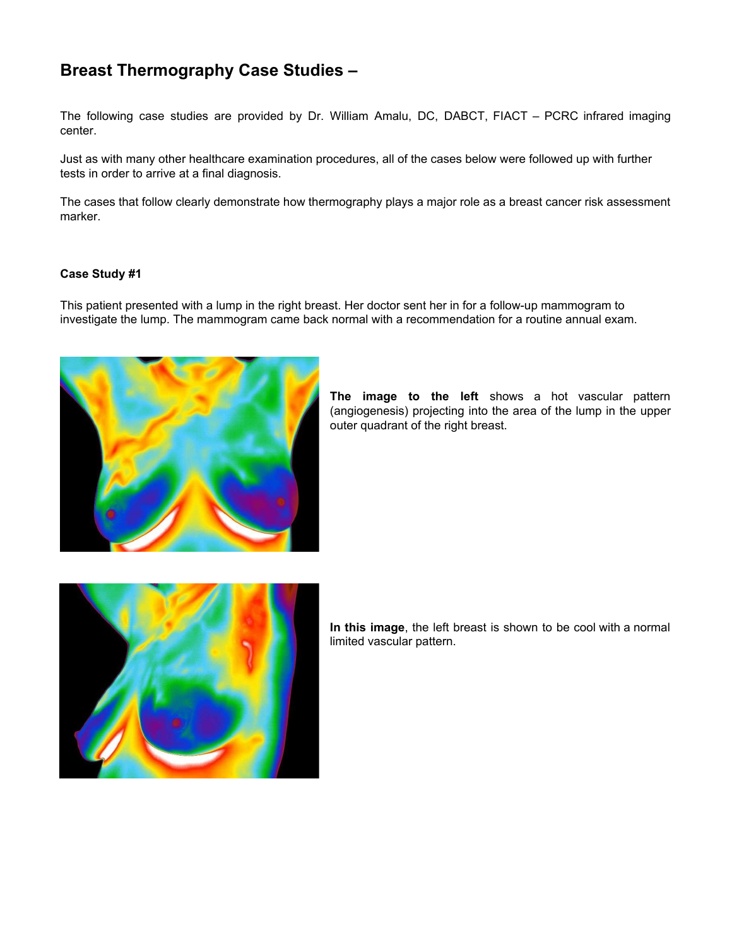# **Breast Thermography Case Studies –**

The following case studies are provided by Dr. William Amalu, DC, DABCT, FIACT – PCRC infrared imaging center.

Just as with many other healthcare examination procedures, all of the cases below were followed up with further tests in order to arrive at a final diagnosis.

The cases that follow clearly demonstrate how thermography plays a major role as a breast cancer risk assessment marker.

#### **Case Study #1**

This patient presented with a lump in the right breast. Her doctor sent her in for a follow-up mammogram to investigate the lump. The mammogram came back normal with a recommendation for a routine annual exam.



**The image to the left** shows a hot vascular pattern (angiogenesis) projecting into the area of the lump in the upper outer quadrant of the right breast.



**In this image**, the left breast is shown to be cool with a normal limited vascular pattern.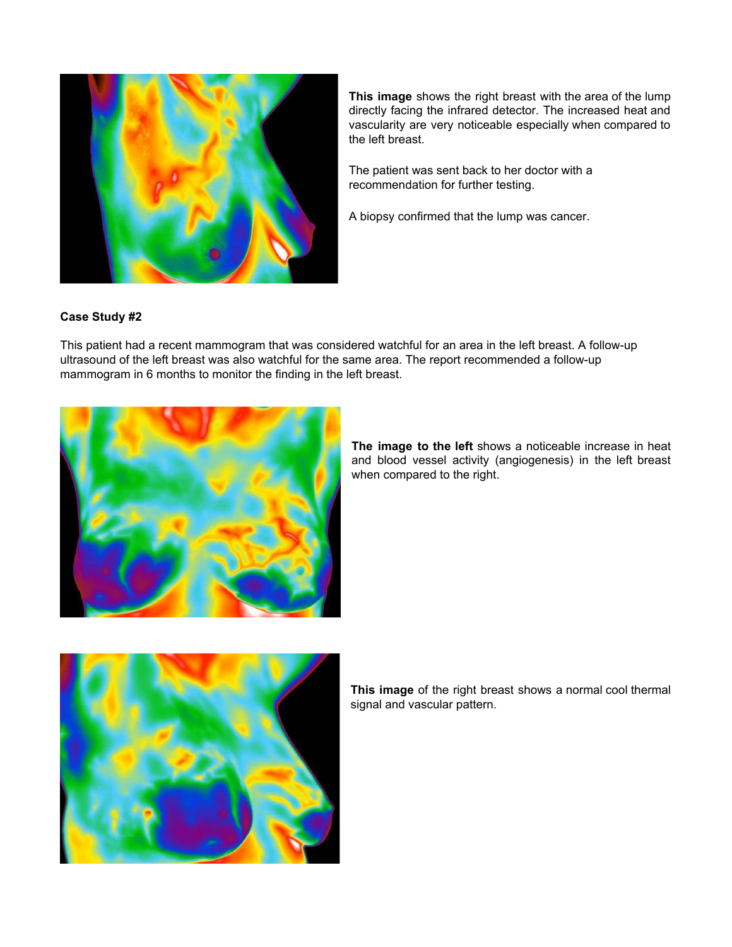

**This image** shows the right breast with the area of the lump directly facing the infrared detector. The increased heat and vascularity are very noticeable especially when compared to the left breast.

The patient was sent back to her doctor with a recommendation for further testing.

A biopsy confirmed that the lump was cancer.

## **Case Study #2**

This patient had a recent mammogram that was considered watchful for an area in the left breast. A follow-up ultrasound of the left breast was also watchful for the same area. The report recommended a follow-up mammogram in 6 months to monitor the finding in the left breast.



**The image to the left** shows a noticeable increase in heat and blood vessel activity (angiogenesis) in the left breast when compared to the right.



**This image** of the right breast shows a normal cool thermal signal and vascular pattern.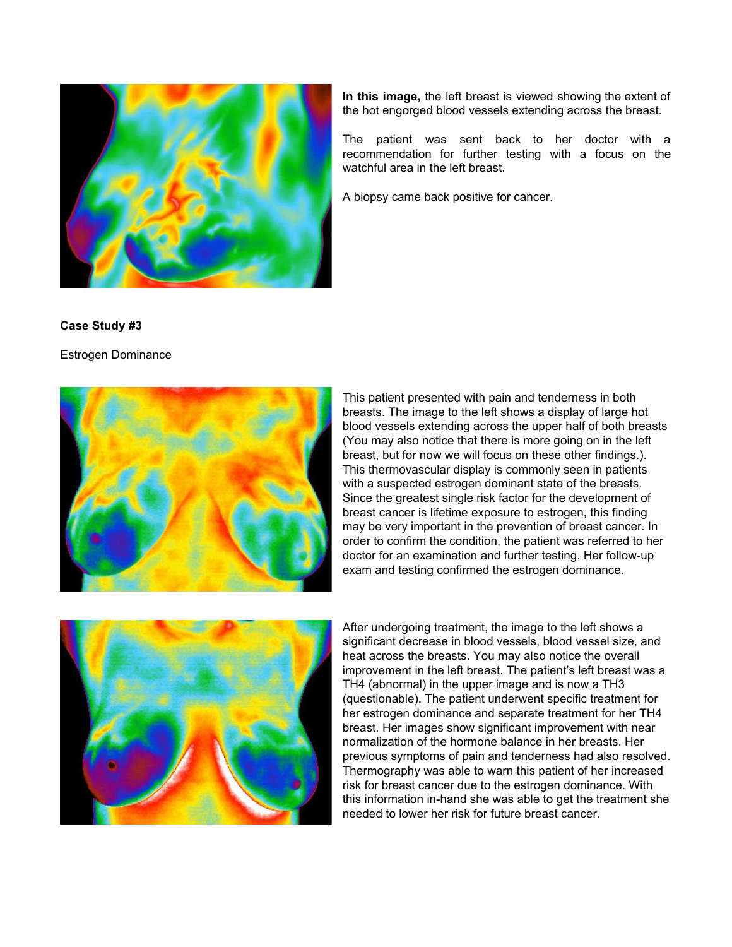

**In this image,** the left breast is viewed showing the extent of the hot engorged blood vessels extending across the breast.

The patient was sent back to her doctor with a recommendation for further testing with a focus on the watchful area in the left breast.

A biopsy came back positive for cancer.

#### **Case Study #3**

Estrogen Dominance



This patient presented with pain and tenderness in both breasts. The image to the left shows a display of large hot blood vessels extending across the upper half of both breasts (You may also notice that there is more going on in the left breast, but for now we will focus on these other findings.). This thermovascular display is commonly seen in patients with a suspected estrogen dominant state of the breasts. Since the greatest single risk factor for the development of breast cancer is lifetime exposure to estrogen, this finding may be very important in the prevention of breast cancer. In order to confirm the condition, the patient was referred to her doctor for an examination and further testing. Her follow-up exam and testing confirmed the estrogen dominance.



After undergoing treatment, the image to the left shows a significant decrease in blood vessels, blood vessel size, and heat across the breasts. You may also notice the overall improvement in the left breast. The patient's left breast was a TH4 (abnormal) in the upper image and is now a TH3 (questionable). The patient underwent specific treatment for her estrogen dominance and separate treatment for her TH4 breast. Her images show significant improvement with near normalization of the hormone balance in her breasts. Her previous symptoms of pain and tenderness had also resolved. Thermography was able to warn this patient of her increased risk for breast cancer due to the estrogen dominance. With this information in-hand she was able to get the treatment she needed to lower her risk for future breast cancer.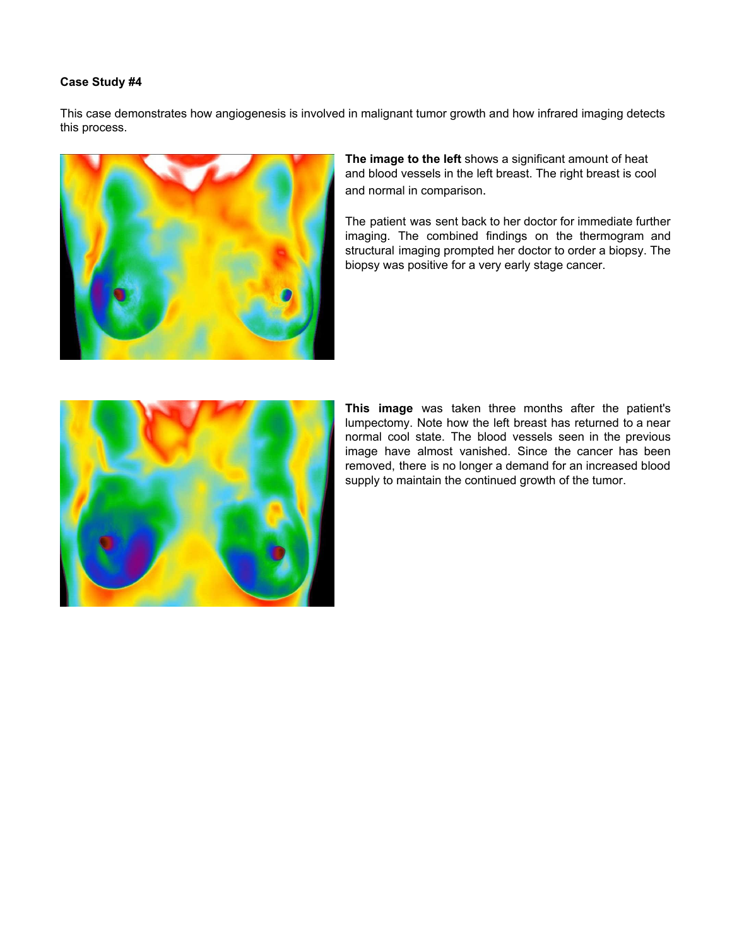This case demonstrates how angiogenesis is involved in malignant tumor growth and how infrared imaging detects this process.



**The image to the left** shows a significant amount of heat and blood vessels in the left breast. The right breast is cool and normal in comparison.

The patient was sent back to her doctor for immediate further imaging. The combined findings on the thermogram and structural imaging prompted her doctor to order a biopsy. The biopsy was positive for a very early stage cancer.



**This image** was taken three months after the patient's lumpectomy. Note how the left breast has returned to a near normal cool state. The blood vessels seen in the previous image have almost vanished. Since the cancer has been removed, there is no longer a demand for an increased blood supply to maintain the continued growth of the tumor.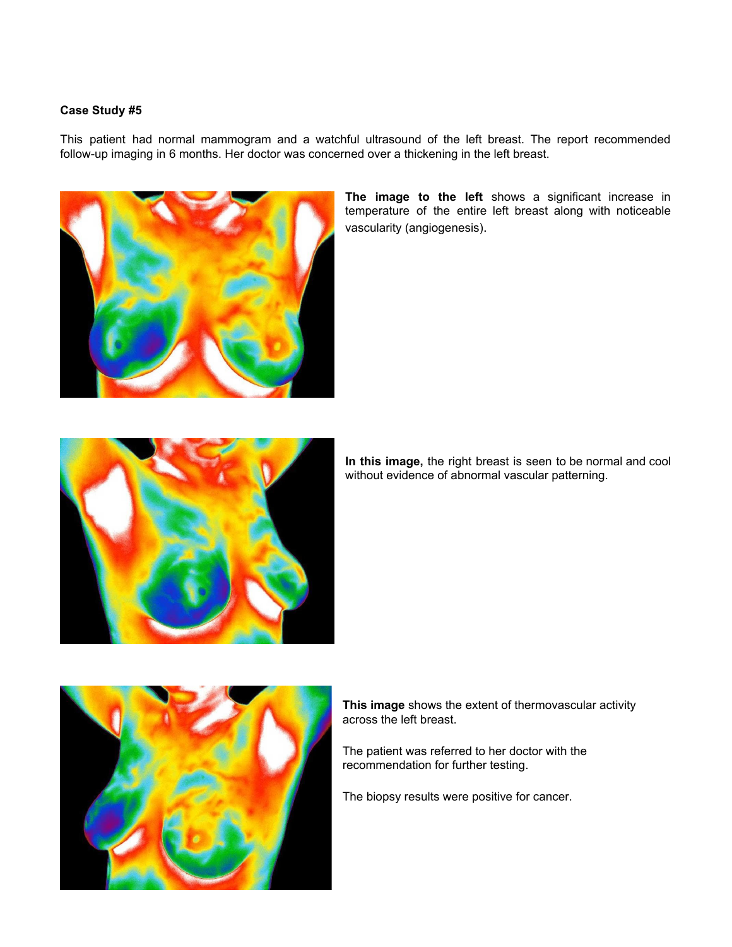This patient had normal mammogram and a watchful ultrasound of the left breast. The report recommended follow-up imaging in 6 months. Her doctor was concerned over a thickening in the left breast.



**The image to the left** shows a significant increase in temperature of the entire left breast along with noticeable vascularity (angiogenesis).



**In this image,** the right breast is seen to be normal and cool without evidence of abnormal vascular patterning.



**This image** shows the extent of thermovascular activity across the left breast.

The patient was referred to her doctor with the recommendation for further testing.

The biopsy results were positive for cancer.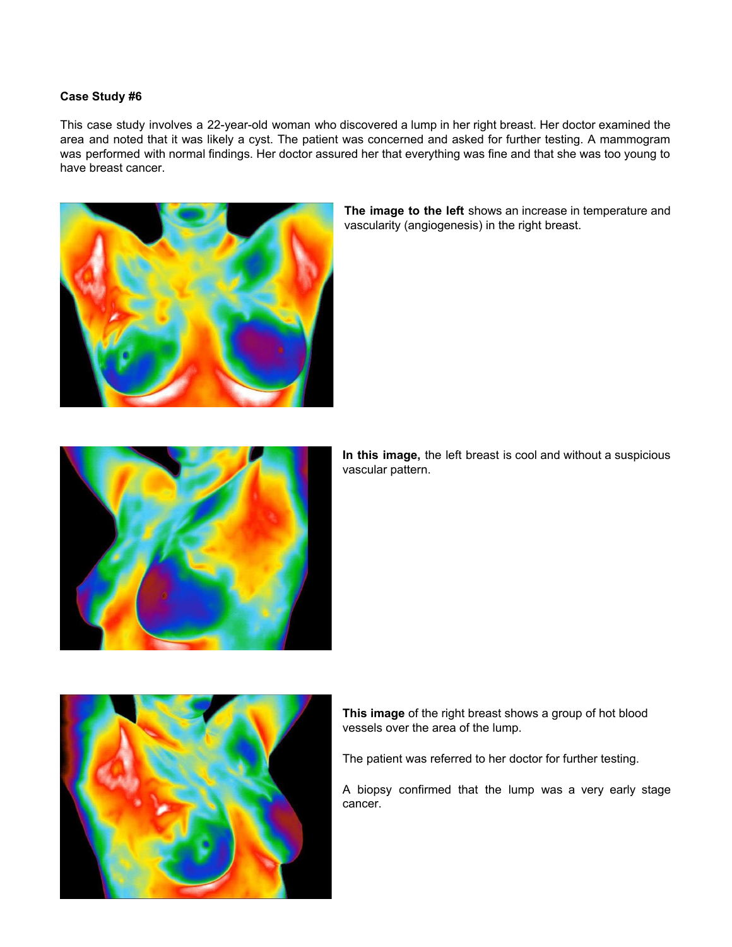This case study involves a 22-year-old woman who discovered a lump in her right breast. Her doctor examined the area and noted that it was likely a cyst. The patient was concerned and asked for further testing. A mammogram was performed with normal findings. Her doctor assured her that everything was fine and that she was too young to have breast cancer.



**The image to the left** shows an increase in temperature and vascularity (angiogenesis) in the right breast.



**In this image,** the left breast is cool and without a suspicious vascular pattern.



The patient was referred to her doctor for further testing.

A biopsy confirmed that the lump was a very early stage cancer.